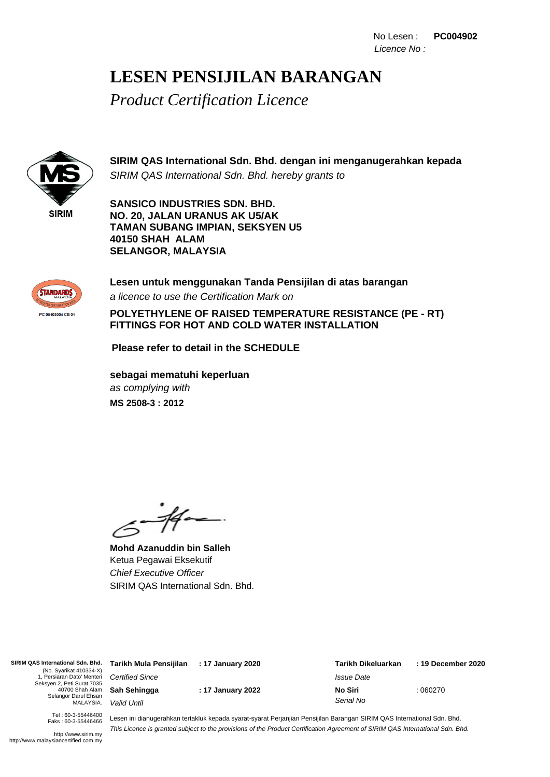No Lesen : **PC004902** Licence No :

### **LESEN PENSIJILAN BARANGAN**

*Product Certification Licence*



**SIRIM QAS International Sdn. Bhd. dengan ini menganugerahkan kepada** SIRIM QAS International Sdn. Bhd. hereby grants to

**SANSICO INDUSTRIES SDN. BHD. NO. 20, JALAN URANUS AK U5/AK TAMAN SUBANG IMPIAN, SEKSYEN U5 40150 SHAH ALAM SELANGOR, MALAYSIA**



**Lesen untuk menggunakan Tanda Pensijilan di atas barangan** a licence to use the Certification Mark on

**POLYETHYLENE OF RAISED TEMPERATURE RESISTANCE (PE - RT) FITTINGS FOR HOT AND COLD WATER INSTALLATION**

**Please refer to detail in the SCHEDULE**

as complying with **sebagai mematuhi keperluan MS 2508-3 : 2012**

.<br>- 14 -

**Mohd Azanuddin bin Salleh** Ketua Pegawai Eksekutif Chief Executive Officer SIRIM QAS International Sdn. Bhd.

**SIRIM QAS International Sdn. Bhd.** (No. Syarikat 410334-X) 1, Persiaran Dato' Menteri Seksyen 2, Peti Surat 7035 40700 Shah Alam Selangor Darul Ehsan MALAYSIA.

Certified Since **Sah Sehingga** Valid Until

**: 17 January 2022**

: 060270 **: 17 January 2020 Tarikh Mula Pensijilan : 19 December 2020 Tarikh Dikeluarkan** Issue Date **No Siri** Serial No

Tel : 60-3-55446400 Faks : 60-3-55446466

http://www.sirim.my http://www.malaysiancertified.com.my

Lesen ini dianugerahkan tertakluk kepada syarat-syarat Perjanjian Pensijilan Barangan SIRIM QAS International Sdn. Bhd. This Licence is granted subject to the provisions of the Product Certification Agreement of SIRIM QAS International Sdn. Bhd.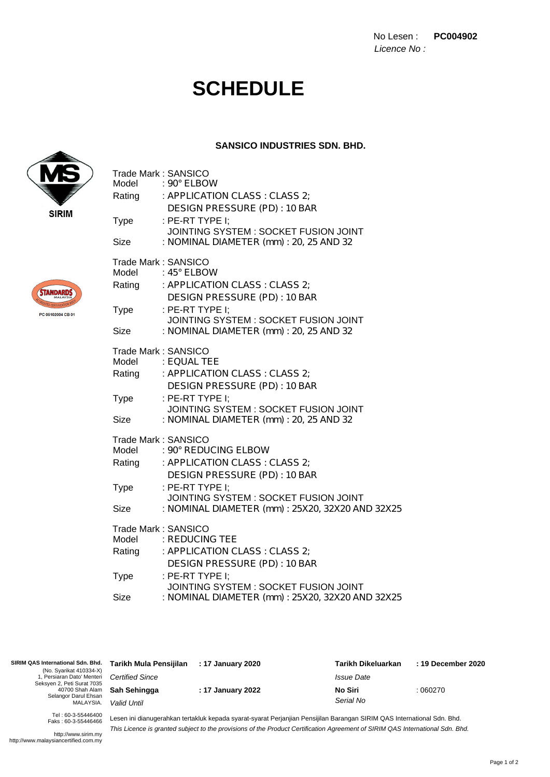No Lesen : **PC004902** Licence No :

# **SCHEDULE**

#### **SANSICO INDUSTRIES SDN. BHD.**



**STANDARDS** 

PC 05102004 CB 01

| Trade Mark: SANSICO<br>Model | $:90^{\circ}$ ELBOW                                                             |
|------------------------------|---------------------------------------------------------------------------------|
| Rating                       | : APPLICATION CLASS : CLASS 2;                                                  |
|                              | DESIGN PRESSURE (PD): 10 BAR                                                    |
| <b>Type</b>                  | : PE-RT TYPE I;                                                                 |
| Size                         | JOINTING SYSTEM: SOCKET FUSION JOINT<br>: NOMINAL DIAMETER (mm) : 20, 25 AND 32 |
| Trade Mark: SANSICO          |                                                                                 |
| Model                        | : 45° ELBOW                                                                     |
| Rating                       | : APPLICATION CLASS : CLASS 2;                                                  |
|                              | DESIGN PRESSURE (PD): 10 BAR                                                    |
| <b>Type</b>                  | : PE-RT TYPE I;<br>JOINTING SYSTEM: SOCKET FUSION JOINT                         |
| Size                         | : NOMINAL DIAMETER (mm) : 20, 25 AND 32                                         |
|                              |                                                                                 |
| Trade Mark: SANSICO<br>Model | : EOUAL TEE                                                                     |
| Rating                       | : APPLICATION CLASS : CLASS 2;                                                  |
|                              | DESIGN PRESSURE (PD): 10 BAR                                                    |
| <b>Type</b>                  | : PE-RT TYPE I:                                                                 |
|                              | JOINTING SYSTEM: SOCKET FUSION JOINT                                            |
| Size                         | : NOMINAL DIAMETER (mm) : 20, 25 AND 32                                         |
| Trade Mark: SANSICO          |                                                                                 |
| Model                        | : 90° REDUCING ELBOW                                                            |
| Rating                       | : APPLICATION CLASS : CLASS 2;                                                  |
|                              | DESIGN PRESSURE (PD): 10 BAR                                                    |
| Type                         | : PE-RT TYPE I;<br>JOINTING SYSTEM : SOCKET FUSION JOINT                        |
| Size                         | : NOMINAL DIAMETER (mm) : 25X20, 32X20 AND 32X25                                |
| Trade Mark: SANSICO          |                                                                                 |
| Model                        | : REDUCING TEE                                                                  |
| Rating                       | : APPLICATION CLASS : CLASS 2;                                                  |
|                              | DESIGN PRESSURE (PD): 10 BAR                                                    |
| <b>Type</b>                  | : PE-RT TYPE I;<br>JOINTING SYSTEM : SOCKET FUSION JOINT                        |
| Size                         | : NOMINAL DIAMETER (mm) : 25X20, 32X20 AND 32X25                                |

| SIRIM QAS International Sdn. Bhd.<br>(No. Syarikat 410334-X)<br>, Persiaran Dato' Menteri Certified Since<br>Seksyen 2, Peti Surat 7035<br>Selangor Darul Ehsan<br>MALAYSIA. | Tarikh Mula Pensijilan              | : 17 January 2020 | Tarikh Dikeluarkan       | : 19 December 2020 |
|------------------------------------------------------------------------------------------------------------------------------------------------------------------------------|-------------------------------------|-------------------|--------------------------|--------------------|
|                                                                                                                                                                              |                                     |                   | <i><b>Issue Date</b></i> |                    |
|                                                                                                                                                                              | 40700 Shah Alam <b>Sah Sehingga</b> | : 17 January 2022 | No Siri                  | :060270            |
|                                                                                                                                                                              | Valid Until                         | Serial No         |                          |                    |
| $T_0$ $(0.2.55116100$                                                                                                                                                        |                                     |                   |                          |                    |

Tel : 60-3-55446400 Faks : 60-3-55446466

Lesen ini dianugerahkan tertakluk kepada syarat-syarat Perjanjian Pensijilan Barangan SIRIM QAS International Sdn. Bhd. This Licence is granted subject to the provisions of the Product Certification Agreement of SIRIM QAS International Sdn. Bhd.

http://www.sirim.my http://www.malaysiancertified.com.my